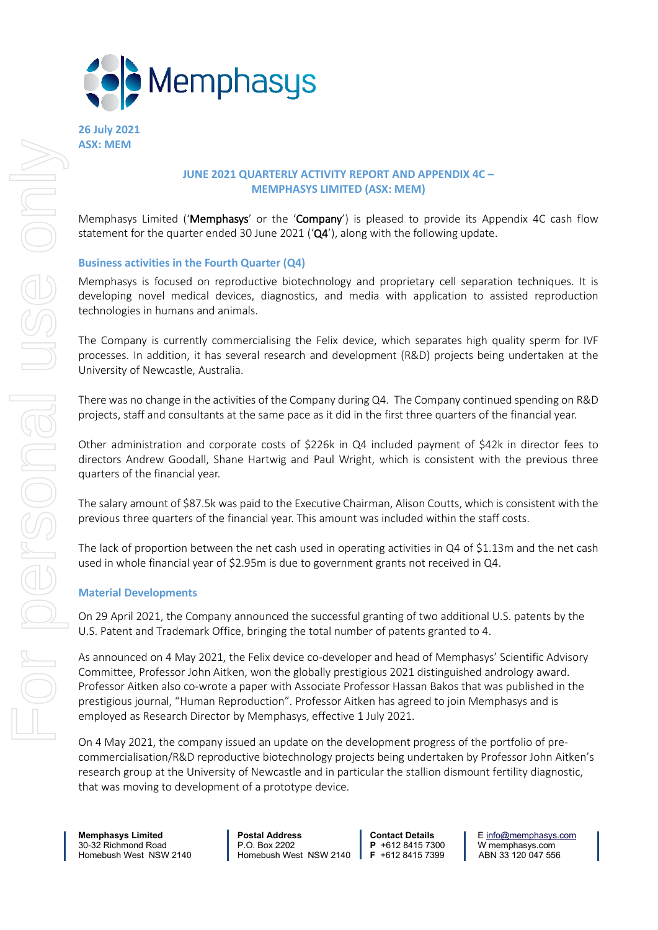

**26 July 2021 ASX: MEM**

### **JUNE 2021 QUARTERLY ACTIVITY REPORT AND APPENDIX 4C – MEMPHASYS LIMITED (ASX: MEM)**

Memphasys Limited ('Memphasys' or the 'Company') is pleased to provide its Appendix 4C cash flow statement for the quarter ended 30 June 2021  $(Q4')$ , along with the following update.

### **Business activities in the Fourth Quarter (Q4)**

Memphasys is focused on reproductive biotechnology and proprietary cell separation techniques. It is developing novel medical devices, diagnostics, and media with application to assisted reproduction technologies in humans and animals.

The Company is currently commercialising the Felix device, which separates high quality sperm for IVF processes. In addition, it has several research and development (R&D) projects being undertaken at the University of Newcastle, Australia.

There was no change in the activities of the Company during Q4. The Company continued spending on R&D projects, staff and consultants at the same pace as it did in the first three quarters of the financial year.

Other administration and corporate costs of \$226k in Q4 included payment of \$42k in director fees to directors Andrew Goodall, Shane Hartwig and Paul Wright, which is consistent with the previous three quarters of the financial year.

The salary amount of \$87.5k was paid to the Executive Chairman, Alison Coutts, which is consistent with the previous three quarters of the financial year. This amount was included within the staff costs.

The lack of proportion between the net cash used in operating activities in Q4 of \$1.13m and the net cash used in whole financial year of \$2.95m is due to government grants not received in Q4.

### **Material Developments**

On 29 April 2021, the Company announced the successful granting of two additional U.S. patents by the U.S. Patent and Trademark Office, bringing the total number of patents granted to 4.

As announced on 4 May 2021, the Felix device co-developer and head of Memphasys' Scientific Advisory Committee, Professor John Aitken, won the globally prestigious 2021 distinguished andrology award. Professor Aitken also co-wrote a paper with Associate Professor Hassan Bakos that was published in the prestigious journal, "Human Reproduction". Professor Aitken has agreed to join Memphasys and is employed as Research Director by Memphasys, effective 1 July 2021.

On 4 May 2021, the company issued an update on the development progress of the portfolio of precommercialisation/R&D reproductive biotechnology projects being undertaken by Professor John Aitken's research group at the University of Newcastle and in particular the stallion dismount fertility diagnostic, that was moving to development of a prototype device.

**Memphasys Limited Postal Address Contact Details E** [info@memphasys.com](mailto:info@memphasys.com) **Contact Details P** +612 8415 7300 **W** memphasys.com 30-32 Richmond Road P.O. Box 2202 **P** +612 8415 7300 W memphasys.com Homebush West NSW 2140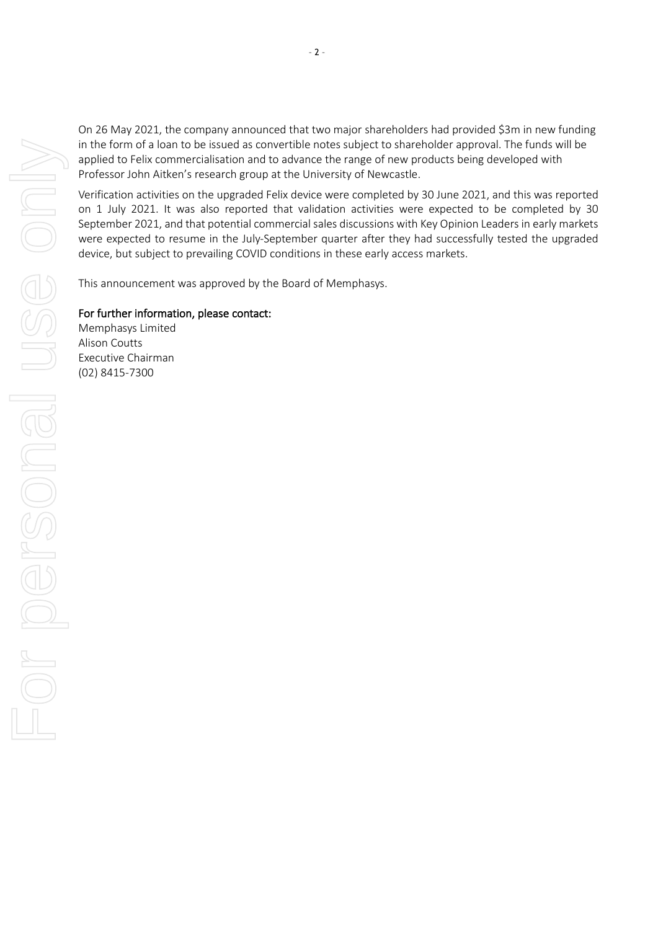On 26 May 2021, the company announced that two major shareholders had provided \$3m in new funding in the form of a loan to be issued as convertible notes subject to shareholder approval. The funds will be applied to Felix commercialisation and to advance the range of new products being developed with Professor John Aitken's research group at the University of Newcastle.

Verification activities on the upgraded Felix device were completed by 30 June 2021, and this was reported on 1 July 2021. It was also reported that validation activities were expected to be completed by 30 September 2021, and that potential commercial sales discussions with Key Opinion Leaders in early markets were expected to resume in the July-September quarter after they had successfully tested the upgraded device, but subject to prevailing COVID conditions in these early access markets.

This announcement was approved by the Board of Memphasys.

### For further information, please contact:

Memphasys Limited Alison Coutts Executive Chairman (02) 8415-7300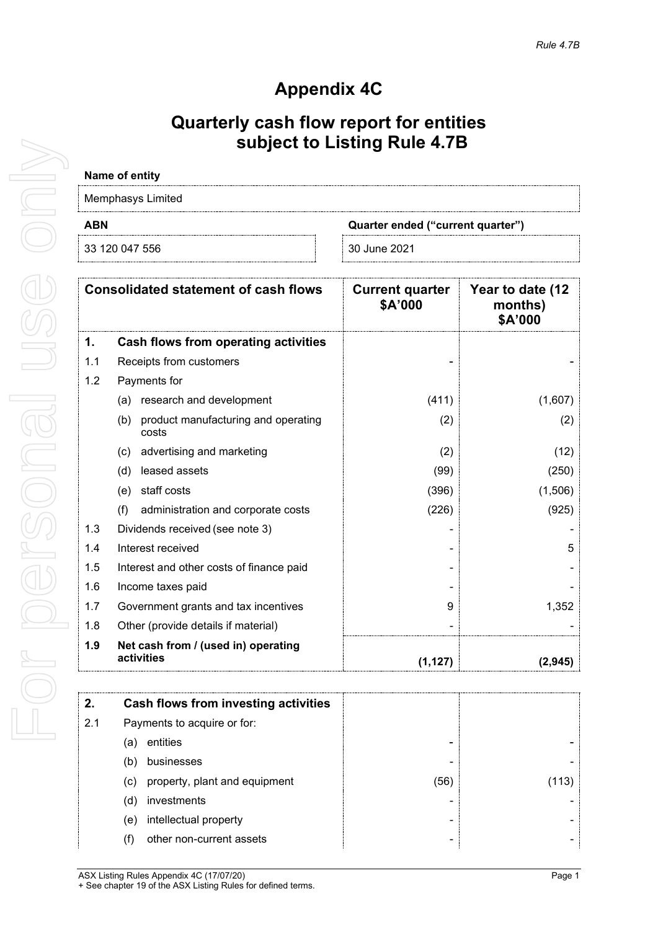# **Appendix 4C**

## **Quarterly cash flow report for entities subject to Listing Rule 4.7B**

# **Name of entity** Memphasys Limited **ABN Quarter ended ("current quarter")**

| 22.10C<br>ำ⊿<br>აახ | זכי<br>м |  |  |
|---------------------|----------|--|--|
|                     |          |  |  |

|     | <b>Consolidated statement of cash flows</b>         | <b>Current quarter</b><br>\$A'000 | Year to date (12<br>months)<br>\$A'000 |
|-----|-----------------------------------------------------|-----------------------------------|----------------------------------------|
| 1.  | Cash flows from operating activities                |                                   |                                        |
| 1.1 | Receipts from customers                             |                                   |                                        |
| 1.2 | Payments for                                        |                                   |                                        |
|     | research and development<br>(a)                     | (411)                             | (1,607)                                |
|     | product manufacturing and operating<br>(b)<br>costs | (2)                               | (2)                                    |
|     | advertising and marketing<br>(c)                    | (2)                               | (12)                                   |
|     | leased assets<br>(d)                                | (99)                              | (250)                                  |
|     | staff costs<br>(e)                                  | (396)                             | (1,506)                                |
|     | (f)<br>administration and corporate costs           | (226)                             | (925)                                  |
| 1.3 | Dividends received (see note 3)                     |                                   |                                        |
| 1.4 | Interest received                                   |                                   | 5                                      |
| 1.5 | Interest and other costs of finance paid            |                                   |                                        |
| 1.6 | Income taxes paid                                   |                                   |                                        |
| 1.7 | Government grants and tax incentives                | 9                                 | 1,352                                  |
| 1.8 | Other (provide details if material)                 |                                   |                                        |
| 1.9 | Net cash from / (used in) operating<br>activities   | (1, 127)                          | (2, 945)                               |

|     | Cash flows from investing activities |     |     |
|-----|--------------------------------------|-----|-----|
| 2.1 | Payments to acquire or for:          |     |     |
|     | entities<br>а                        | -   |     |
|     | businesses<br>b                      | ۰   |     |
|     | property, plant and equipment<br>(C) | (56 | 13) |
|     | investments<br>d.                    |     |     |
|     | intellectual property<br>e)          |     |     |
|     | other non-current assets             | -   |     |
|     |                                      |     |     |

ASX Listing Rules Appendix 4C (17/07/20) example of the state of the Page 1 + See chapter 19 of the ASX Listing Rules for defined terms.

For personal use only

For personal

USS onl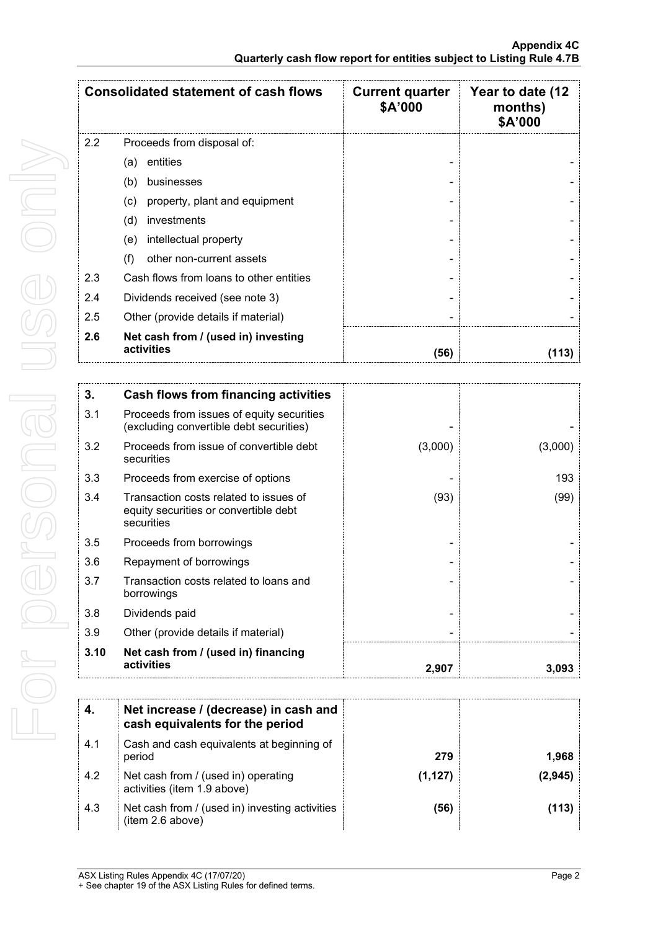|     | <b>Consolidated statement of cash flows</b>       | <b>Current quarter</b><br>\$A'000 | Year to date (12<br>months)<br>\$A'000 |
|-----|---------------------------------------------------|-----------------------------------|----------------------------------------|
| 2.2 | Proceeds from disposal of:                        |                                   |                                        |
|     | entities<br>(a)                                   |                                   |                                        |
|     | businesses<br>(b)                                 |                                   |                                        |
|     | property, plant and equipment<br>(c)              |                                   |                                        |
|     | investments<br>(d)                                |                                   |                                        |
|     | intellectual property<br>(e)                      |                                   |                                        |
|     | other non-current assets<br>(f)                   |                                   |                                        |
| 2.3 | Cash flows from loans to other entities           |                                   |                                        |
| 2.4 | Dividends received (see note 3)                   |                                   |                                        |
| 2.5 | Other (provide details if material)               |                                   |                                        |
| 2.6 | Net cash from / (used in) investing<br>activities | (56)                              |                                        |

| 3.   | Cash flows from financing activities                                                          |         |         |
|------|-----------------------------------------------------------------------------------------------|---------|---------|
| 3.1  | Proceeds from issues of equity securities<br>(excluding convertible debt securities)          |         |         |
| 3.2  | Proceeds from issue of convertible debt<br>securities                                         | (3,000) | (3,000) |
| 3.3  | Proceeds from exercise of options                                                             |         | 193     |
| 3.4  | Transaction costs related to issues of<br>equity securities or convertible debt<br>securities | (93)    | (99)    |
| 3.5  | Proceeds from borrowings                                                                      |         |         |
| 3.6  | Repayment of borrowings                                                                       |         |         |
| 3.7  | Transaction costs related to loans and<br>borrowings                                          |         |         |
| 3.8  | Dividends paid                                                                                |         |         |
| 3.9  | Other (provide details if material)                                                           |         |         |
| 3.10 | Net cash from / (used in) financing<br>activities                                             | 2,907   | 3,093   |

|     | Net increase / (decrease) in cash and<br>cash equivalents for the period |          |       |
|-----|--------------------------------------------------------------------------|----------|-------|
| 4.1 | Cash and cash equivalents at beginning of<br>period                      | 279      | .968  |
| 4.2 | Net cash from / (used in) operating<br>activities (item 1.9 above)       | (1, 127) | 2.945 |
| 4.3 | Net cash from / (used in) investing activities<br>(item 2.6 above)       | (56)     |       |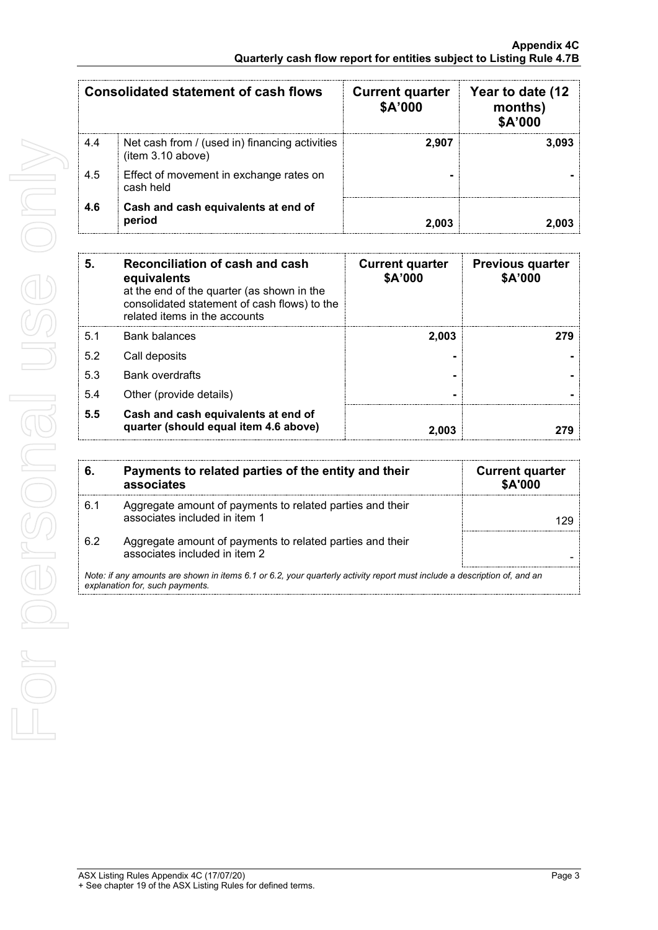| Consolidated statement of cash flows |                                                                     | <b>Current quarter</b><br>\$A'000 | Year to date (12<br>months)<br>\$A'000 |
|--------------------------------------|---------------------------------------------------------------------|-----------------------------------|----------------------------------------|
| 4.4                                  | Net cash from / (used in) financing activities<br>(item 3.10 above) | 2.907                             | 3.093                                  |
| 4.5                                  | Effect of movement in exchange rates on<br>cash held                |                                   |                                        |
| 4.6                                  | Cash and cash equivalents at end of<br>period                       |                                   |                                        |

| 5   | Reconciliation of cash and cash<br>equivalents<br>at the end of the quarter (as shown in the<br>consolidated statement of cash flows) to the<br>related items in the accounts | <b>Current quarter</b><br>\$A'000 | <b>Previous quarter</b><br>\$A'000 |
|-----|-------------------------------------------------------------------------------------------------------------------------------------------------------------------------------|-----------------------------------|------------------------------------|
| 5.1 | <b>Bank balances</b>                                                                                                                                                          | 2,003                             | 779                                |
| 5.2 | Call deposits                                                                                                                                                                 |                                   |                                    |
| 5.3 | <b>Bank overdrafts</b>                                                                                                                                                        |                                   |                                    |
| 5.4 | Other (provide details)                                                                                                                                                       |                                   |                                    |
| 5.5 | Cash and cash equivalents at end of<br>quarter (should equal item 4.6 above)                                                                                                  | 2.003                             |                                    |

| 6.                                                                                                                                                          | Payments to related parties of the entity and their<br>associates                          | <b>Current quarter</b><br>\$A'000 |
|-------------------------------------------------------------------------------------------------------------------------------------------------------------|--------------------------------------------------------------------------------------------|-----------------------------------|
| 6.1                                                                                                                                                         | Aggregate amount of payments to related parties and their<br>associates included in item 1 |                                   |
| 6.2                                                                                                                                                         | Aggregate amount of payments to related parties and their<br>associates included in item 2 |                                   |
| Note: if any amounts are shown in items 6.1 or 6.2, your quarterly activity report must include a description of, and an<br>explanation for, such payments. |                                                                                            |                                   |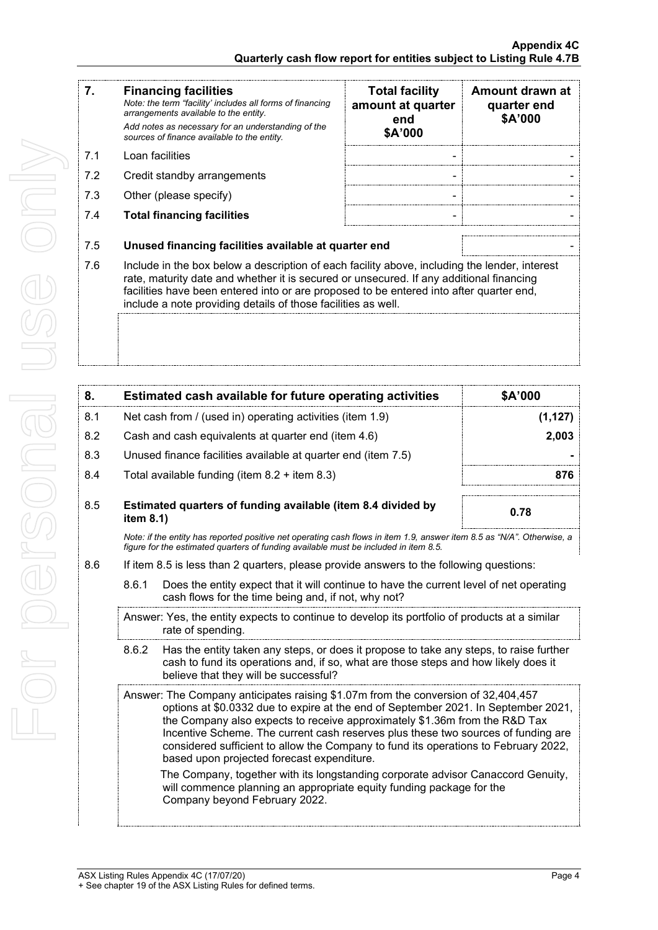| 7.  | <b>Financing facilities</b><br>Note: the term "facility' includes all forms of financing<br>arrangements available to the entity.<br>Add notes as necessary for an understanding of the<br>sources of finance available to the entity.                                                                                                               | <b>Total facility</b><br>amount at quarter<br>end<br>\$A'000 | Amount drawn at<br>quarter end<br>\$A'000 |
|-----|------------------------------------------------------------------------------------------------------------------------------------------------------------------------------------------------------------------------------------------------------------------------------------------------------------------------------------------------------|--------------------------------------------------------------|-------------------------------------------|
| 7.1 | Loan facilities                                                                                                                                                                                                                                                                                                                                      |                                                              |                                           |
| 7.2 | Credit standby arrangements                                                                                                                                                                                                                                                                                                                          | ٠                                                            |                                           |
| 7.3 | Other (please specify)                                                                                                                                                                                                                                                                                                                               | ٠                                                            |                                           |
| 7.4 | <b>Total financing facilities</b>                                                                                                                                                                                                                                                                                                                    |                                                              |                                           |
| 7.5 | Unused financing facilities available at quarter end                                                                                                                                                                                                                                                                                                 |                                                              |                                           |
| 7.6 | Include in the box below a description of each facility above, including the lender, interest<br>rate, maturity date and whether it is secured or unsecured. If any additional financing<br>facilities have been entered into or are proposed to be entered into after quarter end,<br>include a note providing details of those facilities as well. |                                                              |                                           |

| 8.  | \$A'000<br>Estimated cash available for future operating activities       |                                                                                                                                                                                                                                                                                                                                                                                                                                                                                 |          |  |
|-----|---------------------------------------------------------------------------|---------------------------------------------------------------------------------------------------------------------------------------------------------------------------------------------------------------------------------------------------------------------------------------------------------------------------------------------------------------------------------------------------------------------------------------------------------------------------------|----------|--|
| 8.1 |                                                                           | Net cash from / (used in) operating activities (item 1.9)                                                                                                                                                                                                                                                                                                                                                                                                                       | (1, 127) |  |
| 8.2 |                                                                           | Cash and cash equivalents at quarter end (item 4.6)                                                                                                                                                                                                                                                                                                                                                                                                                             | 2,003    |  |
| 8.3 |                                                                           | Unused finance facilities available at quarter end (item 7.5)                                                                                                                                                                                                                                                                                                                                                                                                                   |          |  |
| 8.4 |                                                                           | Total available funding (item $8.2 +$ item $8.3$ )                                                                                                                                                                                                                                                                                                                                                                                                                              | 876      |  |
| 8.5 | Estimated quarters of funding available (item 8.4 divided by<br>item 8.1) |                                                                                                                                                                                                                                                                                                                                                                                                                                                                                 | 0.78     |  |
|     |                                                                           | Note: if the entity has reported positive net operating cash flows in item 1.9, answer item 8.5 as "N/A". Otherwise, a<br>figure for the estimated quarters of funding available must be included in item 8.5.                                                                                                                                                                                                                                                                  |          |  |
| 8.6 |                                                                           | If item 8.5 is less than 2 quarters, please provide answers to the following questions:                                                                                                                                                                                                                                                                                                                                                                                         |          |  |
|     | 8.6.1                                                                     | Does the entity expect that it will continue to have the current level of net operating<br>cash flows for the time being and, if not, why not?                                                                                                                                                                                                                                                                                                                                  |          |  |
|     |                                                                           | Answer: Yes, the entity expects to continue to develop its portfolio of products at a similar<br>rate of spending.                                                                                                                                                                                                                                                                                                                                                              |          |  |
|     | 8.6.2                                                                     | Has the entity taken any steps, or does it propose to take any steps, to raise further<br>cash to fund its operations and, if so, what are those steps and how likely does it<br>believe that they will be successful?                                                                                                                                                                                                                                                          |          |  |
|     |                                                                           | Answer: The Company anticipates raising \$1.07m from the conversion of 32,404,457<br>options at \$0.0332 due to expire at the end of September 2021. In September 2021,<br>the Company also expects to receive approximately \$1.36m from the R&D Tax<br>Incentive Scheme. The current cash reserves plus these two sources of funding are<br>considered sufficient to allow the Company to fund its operations to February 2022,<br>based upon projected forecast expenditure. |          |  |
|     |                                                                           | The Company, together with its longstanding corporate advisor Canaccord Genuity,<br>will commence planning an appropriate equity funding package for the<br>Company beyond February 2022.                                                                                                                                                                                                                                                                                       |          |  |
|     |                                                                           |                                                                                                                                                                                                                                                                                                                                                                                                                                                                                 |          |  |